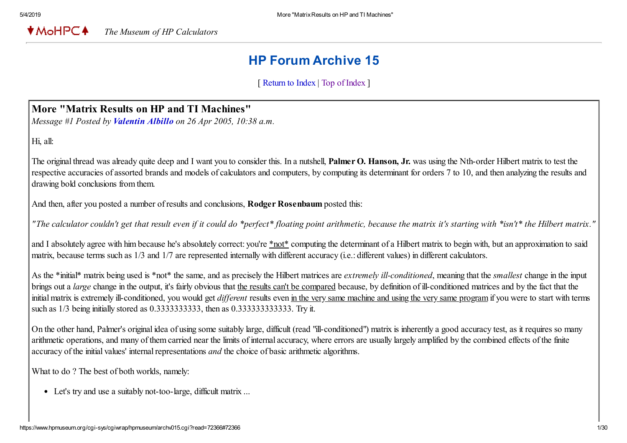**★MoHPC4** *The Museum of HP Calculators*

# HP Forum Archive 15

[ [Return to Index](https://www.hpmuseum.org/cgi-sys/cgiwrap/hpmuseum/archv015.cgi#72366) | [Top of Index](https://www.hpmuseum.org/cgi-sys/cgiwrap/hpmuseum/archv015.cgi) ]

## More "Matrix Results on HP and TI Machines"

*Message #1 Posted by [Valentin Albillo](https://www.hpmuseum.org/cgi-sys/cgiwrap/hpmuseum/archv015.cgi?contact=72366) on 26 Apr 2005, 10:38 a.m.*

Hi, all:

The original thread was already quite deep and I want you to consider this. In a nutshell, **Palmer O. Hanson, Jr.** was using the Nth-order Hilbert matrix to test the respective accuracies of assorted brands and models of calculators and computers, by computing its determinant for orders 7 to 10, and then analyzing the results and drawing bold conclusions from them.

And then, after you posted a number of results and conclusions, **Rodger Rosenbaum** posted this:

*"The calculator couldn't get that result even if it could do \*perfect\* floating point arithmetic, because the matrix it's starting with \*isn't\* the Hilbert matrix."*

and I absolutely agree with him because he's absolutely correct: you're \*not\* computing the determinant of a Hilbert matrix to begin with, but an approximation to said matrix, because terms such as 1/3 and 1/7 are represented internally with different accuracy (i.e.: different values) in different calculators.

As the \*initial\* matrix being used is \*not\* the same, and as precisely the Hilbert matrices are *extremely ill-conditioned*, meaning that the *smallest* change in the input brings out a *large* change in the output, it's fairly obvious that the results can't be compared because, by definition of ill-conditioned matrices and by the fact that the initial matrix is extremely ill-conditioned, you would get *different* results even in the very same machine and using the very same program if you were to start with terms such as 1/3 being initially stored as 0.3333333333, then as 0.333333333333. Try it.

On the other hand, Palmer's original idea of using some suitably large, difficult (read "ill-conditioned") matrix is inherently a good accuracy test, as it requires so many arithmetic operations, and many of them carried near the limits of internal accuracy, where errors are usually largely amplified by the combined effects of the finite accuracy of the initial values' internal representations *and* the choice of basic arithmetic algorithms.

What to do ? The best of both worlds, namely:

Let's try and use a suitably not-too-large, difficult matrix ...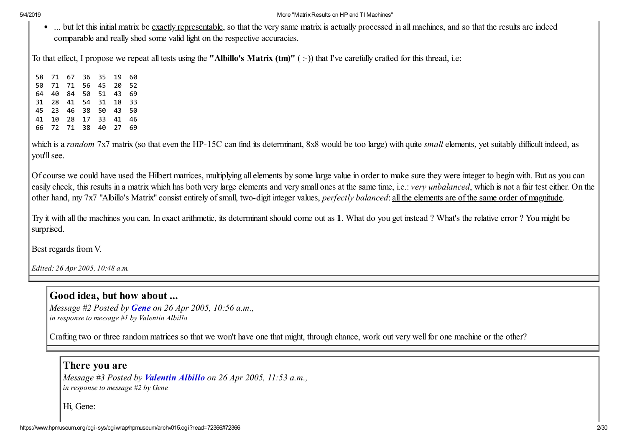• ... but let this initial matrix be exactly representable, so that the very same matrix is actually processed in all machines, and so that the results are indeed comparable and really shed some valid light on the respective accuracies.

To that effect, I propose we repeat all tests using the "Albillo's Matrix  $(tm)$ " (:-)) that I've carefully crafted for this thread, i.e:

 71 67 36 35 19 60 71 71 56 45 20 52 40 84 50 51 43 69 28 41 54 31 18 33 23 46 38 50 43 50 10 28 17 33 41 46 72 71 38 40 27 69

which is a *random* 7x7 matrix (so that even the HP-15C can find its determinant, 8x8 would be too large) with quite *small* elements, yet suitably difficult indeed, as you'll see.

Of course we could have used the Hilbert matrices, multiplying all elements by some large value in order to make sure they were integer to begin with. But as you can easily check, this results in a matrix which has both very large elements and very small ones at the same time, i.e.: *very unbalanced*, which is not a fair test either. On the other hand, my 7x7 "Albillo's Matrix" consist entirely of small, two-digit integer values, *perfectly balanced*: all the elements are of the same order of magnitude.

Try it with all the machines you can. In exact arithmetic, its determinant should come out as 1. What do you get instead ? What's the relative error ? You might be surprised.

Best regards from V.

*Edited: 26 Apr 2005, 10:48 a.m.*

#### Good idea, but how about ...

*Message #2 Posted by [Gene](https://www.hpmuseum.org/cgi-sys/cgiwrap/hpmuseum/archv015.cgi?contact=72367) on 26 Apr 2005, 10:56 a.m., in response to message #1 by Valentin Albillo*

Crafting two or three random matrices so that we won't have one that might, through chance, work out very well for one machine or the other?

#### There you are

*Message #3 Posted by [Valentin Albillo](https://www.hpmuseum.org/cgi-sys/cgiwrap/hpmuseum/archv015.cgi?contact=72372) on 26 Apr 2005, 11:53 a.m., in response to message #2 by Gene*

Hi, Gene: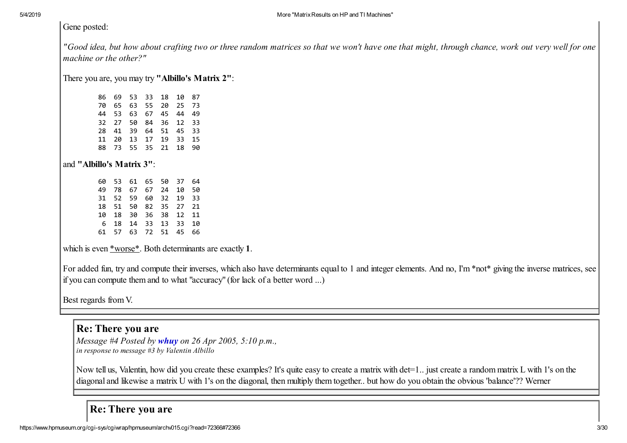#### Gene posted:

*"Good idea, but how about crafting two or three random matrices so that we won't have one that might, through chance, work out very well for one machine or the other?"*

There you are, you may try "Albillo's Matrix 2":

 69 53 33 18 10 87 65 63 55 20 25 73 53 63 67 45 44 49 27 50 84 36 12 33 41 39 64 51 45 33 20 13 17 19 33 15 73 55 35 21 18 90

and "Albillo's Matrix 3":

 53 61 65 50 37 64 78 67 67 24 10 50 52 59 60 32 19 33 51 50 82 35 27 21 18 30 36 38 12 11 18 14 33 13 33 10 57 63 72 51 45 66

which is even \*worse\*. Both determinants are exactly 1.

For added fun, try and compute their inverses, which also have determinants equal to 1 and integer elements. And no, I'm \*not\* giving the inverse matrices, see if you can compute them and to what "accuracy" (for lack of a better word ...)

Best regards from V.

## Re: There you are

*Message #4 Posted by [whuy](https://www.hpmuseum.org/cgi-sys/cgiwrap/hpmuseum/archv015.cgi?contact=72399) on 26 Apr 2005, 5:10 p.m., in response to message #3 by Valentin Albillo*

Now tell us, Valentin, how did you create these examples? It's quite easy to create a matrix with det=1.. just create a random matrix L with 1's on the diagonal and likewise a matrix U with 1's on the diagonal, then multiply them together.. but how do you obtain the obvious 'balance'?? Werner

# Re: There you are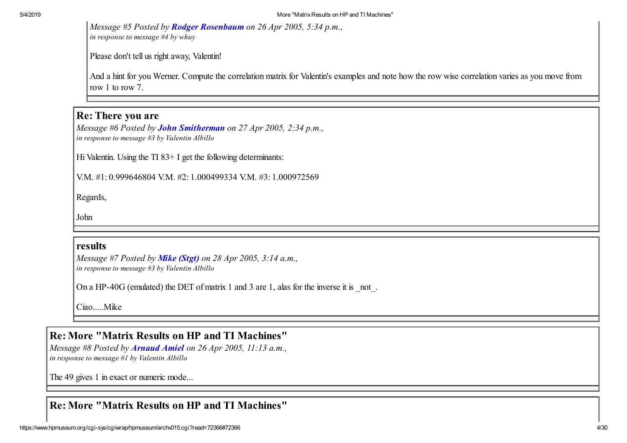*Message #5 Posted by [Rodger Rosenbaum](https://www.hpmuseum.org/cgi-sys/cgiwrap/hpmuseum/archv015.cgi?contact=72401) on 26 Apr 2005, 5:34 p.m., in response to message #4 by whuy*

Please don't tell us right away, Valentin!

And a hint for you Werner. Compute the correlation matrix for Valentin's examples and note how the row wise correlation varies as you move from row 1 to row 7.

#### Re: There you are

*Message #6 Posted by [John Smitherman](https://www.hpmuseum.org/cgi-sys/cgiwrap/hpmuseum/archv015.cgi?contact=72514) on 27 Apr 2005, 2:34 p.m., in response to message #3 by Valentin Albillo*

Hi Valentin. Using the TI 83+ I get the following determinants:

V.M. #1: 0.999646804 V.M. #2: 1.000499334 V.M. #3: 1.000972569

Regards,

John

#### results

*Message #7 Posted by [Mike \(Stgt\)](https://www.hpmuseum.org/cgi-sys/cgiwrap/hpmuseum/archv015.cgi?contact=72536) on 28 Apr 2005, 3:14 a.m., in response to message #3 by Valentin Albillo*

On a HP-40G (emulated) the DET of matrix 1 and 3 are 1, alas for the inverse it is not.

Ciao.....Mike

### Re: More "Matrix Results on HP and TI Machines"

*Message #8 Posted by [Arnaud Amiel](https://www.hpmuseum.org/cgi-sys/cgiwrap/hpmuseum/archv015.cgi?contact=72368) on 26 Apr 2005, 11:13 a.m., in response to message #1 by Valentin Albillo*

The 49 gives 1 in exact or numeric mode...

### Re: More "Matrix Results on HP and TI Machines"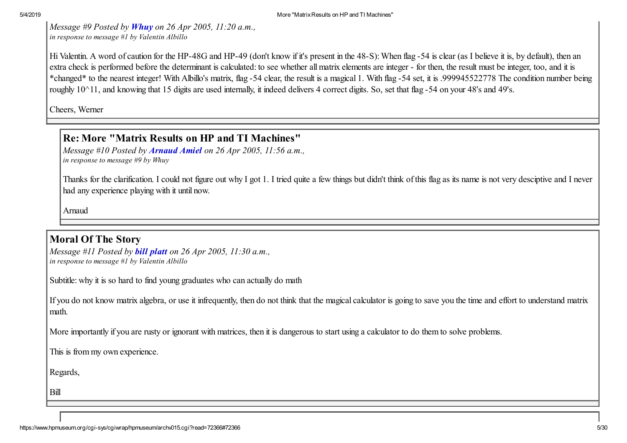*Message #9 Posted by [Whuy](https://www.hpmuseum.org/cgi-sys/cgiwrap/hpmuseum/archv015.cgi?contact=72369) on 26 Apr 2005, 11:20 a.m., in response to message #1 by Valentin Albillo*

Hi Valentin. A word of caution for the HP-48G and HP-49 (don't know if it's present in the 48-S): When flag -54 is clear (as I believe it is, by default), then an extra check is performed before the determinant is calculated: to see whether all matrix elements are integer - for then, the result must be integer, too, and it is \*changed\* to the nearest integer! With Albillo's matrix, flag -54 clear, the result is a magical 1. With flag -54 set, it is .999945522778 The condition number being roughly 10^11, and knowing that 15 digits are used internally, it indeed delivers 4 correct digits. So, set that flag -54 on your 48's and 49's.

Cheers, Werner

# Re: More "Matrix Results on HP and TI Machines"

*Message #10 Posted by [Arnaud Amiel](https://www.hpmuseum.org/cgi-sys/cgiwrap/hpmuseum/archv015.cgi?contact=72373) on 26 Apr 2005, 11:56 a.m., in response to message #9 by Whuy*

Thanks for the clarification. I could not figure out why I got 1. I tried quite a few things but didn't think of this flag as its name is not very desciptive and I never had any experience playing with it until now.

Arnaud

### Moral Of The Story

*Message #11 Posted by [bill platt](https://www.hpmuseum.org/cgi-sys/cgiwrap/hpmuseum/archv015.cgi?contact=72370) on 26 Apr 2005, 11:30 a.m., in response to message #1 by Valentin Albillo*

Subtitle: why it is so hard to find young graduates who can actually do math

If you do not know matrix algebra, or use it infrequently, then do not think that the magical calculator is going to save you the time and effort to understand matrix math.

More importantly if you are rusty or ignorant with matrices, then it is dangerous to start using a calculator to do them to solve problems.

This is from my own experience.

Regards,

Bill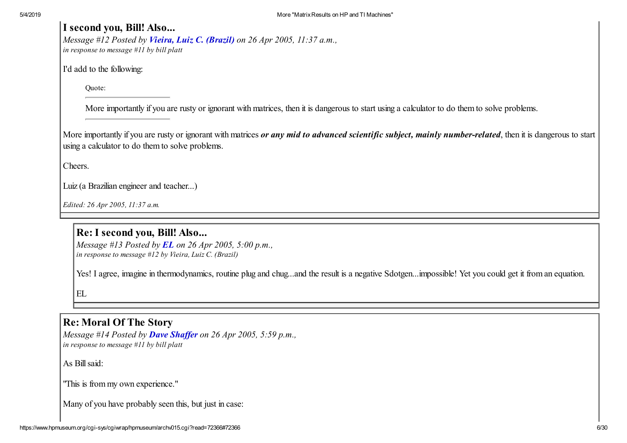#### I second you, Bill! Also...

*Message #12 Posted by [Vieira, Luiz C. \(Brazil\)](https://www.hpmuseum.org/cgi-sys/cgiwrap/hpmuseum/archv015.cgi?contact=72371) on 26 Apr 2005, 11:37 a.m., in response to message #11 by bill platt*

I'd add to the following:

Quote:

More importantly if you are rusty or ignorant with matrices, then it is dangerous to start using a calculator to do them to solve problems.

More importantly if you are rusty or ignorant with matrices *or any mid to advanced scientific subject, mainly number-related*, then it is dangerous to start using a calculator to do them to solve problems.

Cheers.

Luiz (a Brazilian engineer and teacher...)

*Edited: 26 Apr 2005, 11:37 a.m.*

### Re:I second you, Bill! Also...

*Message #13 Posted by [EL](https://www.hpmuseum.org/cgi-sys/cgiwrap/hpmuseum/archv015.cgi?contact=72397) on 26 Apr 2005, 5:00 p.m., in response to message #12 by Vieira, Luiz C. (Brazil)*

Yes! I agree, imagine in thermodynamics, routine plug and chug...and the result is a negative Sdotgen...impossible! Yet you could get it from an equation.

EL

## Re: Moral Of The Story

*Message #14 Posted by [Dave Shaffer](https://www.hpmuseum.org/cgi-sys/cgiwrap/hpmuseum/archv015.cgi?contact=72402) on 26 Apr 2005, 5:59 p.m., in response to message #11 by bill platt*

As Bill said:

"This is from my own experience."

Many of you have probably seen this, but just in case: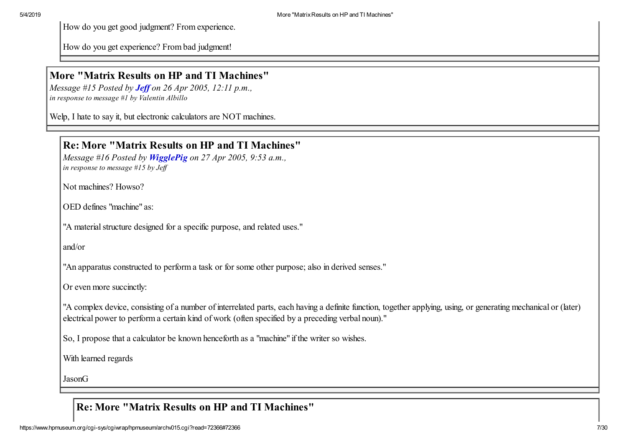How do you get good judgment? From experience.

How do you get experience? From bad judgment!

## More "Matrix Results on HP and TI Machines"

*Message #15 Posted by [Jef](https://www.hpmuseum.org/cgi-sys/cgiwrap/hpmuseum/archv015.cgi?contact=72374) on 26 Apr 2005, 12:11 p.m., in response to message #1 by Valentin Albillo*

Welp, I hate to say it, but electronic calculators are NOT machines.

#### Re: More "Matrix Results on HP and TI Machines"

*Message #16 Posted by [WigglePig](https://www.hpmuseum.org/cgi-sys/cgiwrap/hpmuseum/archv015.cgi?contact=72464) on 27 Apr 2005, 9:53 a.m., in response to message #15 by Jef*

Not machines? Howso?

OED defines "machine" as:

"A material structure designed for a specific purpose, and related uses."

and/or

"An apparatus constructed to perform a task or for some other purpose; also in derived senses."

Or even more succinctly:

"A complex device, consisting of a number of interrelated parts, each having a definite function, together applying, using, or generating mechanical or (later) electrical power to perform a certain kind of work (often specified by a preceding verbal noun)."

So, I propose that a calculator be known henceforth as a "machine" if the writer so wishes.

With learned regards

JasonG

## Re: More "Matrix Results on HP and TI Machines"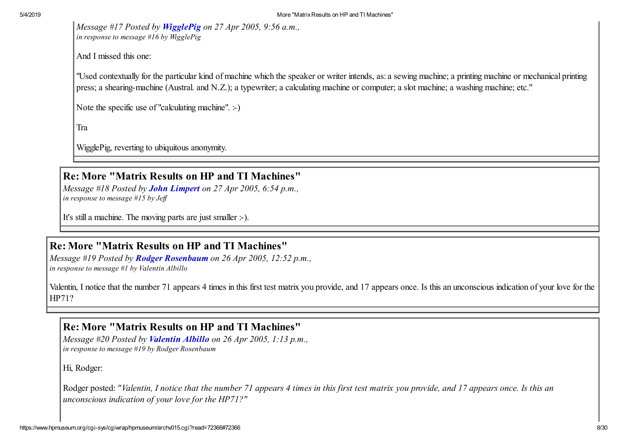*Message #17 Posted by [WigglePig](https://www.hpmuseum.org/cgi-sys/cgiwrap/hpmuseum/archv015.cgi?contact=72465) on 27 Apr 2005, 9:56 a.m., in response to message #16 by WigglePig*

And I missed this one:

"Used contextually for the particular kind of machine which the speaker or writer intends, as: a sewing machine; a printing machine or mechanical printing press; a shearing-machine (Austral. and N.Z.); a typewriter; a calculating machine or computer; a slot machine; a washing machine; etc."

Note the specific use of "calculating machine". :-)

Tra

WigglePig, reverting to ubiquitous anonymity.

# Re: More "Matrix Results on HP and TI Machines"

*Message #18 Posted by [John Limpert](https://www.hpmuseum.org/cgi-sys/cgiwrap/hpmuseum/archv015.cgi?contact=72525) on 27 Apr 2005, 6:54 p.m., in response to message #15 by Jef*

It's still a machine. The moving parts are just smaller :-).

# Re: More "Matrix Results on HP and TI Machines"

*Message #19 Posted by [Rodger Rosenbaum](https://www.hpmuseum.org/cgi-sys/cgiwrap/hpmuseum/archv015.cgi?contact=72376) on 26 Apr 2005, 12:52 p.m., in response to message #1 by Valentin Albillo*

Valentin, I notice that the number 71 appears 4 times in this first test matrix you provide, and 17 appears once. Is this an unconscious indication of your love for the HP71?

# Re: More "Matrix Results on HP and TI Machines"

*Message #20 Posted by [Valentin Albillo](https://www.hpmuseum.org/cgi-sys/cgiwrap/hpmuseum/archv015.cgi?contact=72382) on 26 Apr 2005, 1:13 p.m., in response to message #19 by Rodger Rosenbaum*

Hi, Rodger:

Rodger posted: *"Valentin, I notice that the number 71 appears 4 times in this first test matrix you provide, and 17 appears once. Is this an unconscious indication of your love for the HP71?"*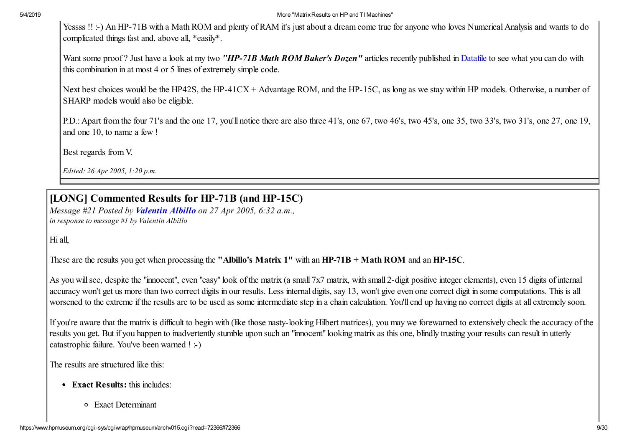Yessss !! :-) An HP-71B with a Math ROM and plenty of RAM it's just about a dream come true for anyone who loves Numerical Analysis and wants to do complicated things fast and, above all, \*easily\*.

Want some proof? Just have a look at my two "HP-71B Math ROM Baker's Dozen" articles recently published in [Datafile](http://www.hpcc.org/datafile/datafilev24.html#V24N2) to see what you can do with this combination in at most 4 or 5 lines of extremely simple code.

Next best choices would be the HP42S, the HP-41CX + Advantage ROM, and the HP-15C, as long as we stay within HP models. Otherwise, a number of SHARP models would also be eligible.

P.D.: Apart from the four 71's and the one 17, you'll notice there are also three 41's, one 67, two 46's, two 45's, one 35, two 33's, two 31's, one 27, one 19, and one 10, to name a few !

Best regards from V.

*Edited: 26 Apr 2005, 1:20 p.m.*

[LONG] Commented Results for HP-71B (and HP-15C)

*Message #21 Posted by [Valentin Albillo](https://www.hpmuseum.org/cgi-sys/cgiwrap/hpmuseum/archv015.cgi?contact=72452) on 27 Apr 2005, 6:32 a.m., in response to message #1 by Valentin Albillo*

Hi all,

These are the results you get when processing the "Albillo's Matrix 1" with an HP-71B + Math ROM and an HP-15C.

As you will see, despite the "innocent", even "easy" look of the matrix (a small 7x7 matrix, with small 2-digit positive integer elements), even 15 digits of internal accuracy won't get us more than two correct digits in our results. Less internal digits, say 13, won't give even one correct digit in some computations. This is all worsened to the extreme if the results are to be used as some intermediate step in a chain calculation. You'll end up having no correct digits at all extremely soon.

If you're aware that the matrix is difficult to begin with (like those nasty-looking Hilbert matrices), you may we forewarned to extensively check the accuracy of the results you get. But if you happen to inadvertently stumble upon such an "innocent" looking matrix as this one, blindly trusting your results can result in utterly catastrophic failure. You've been warned ! :-)

The results are structured like this:

- Exact Results: this includes:
	- Exact Determinant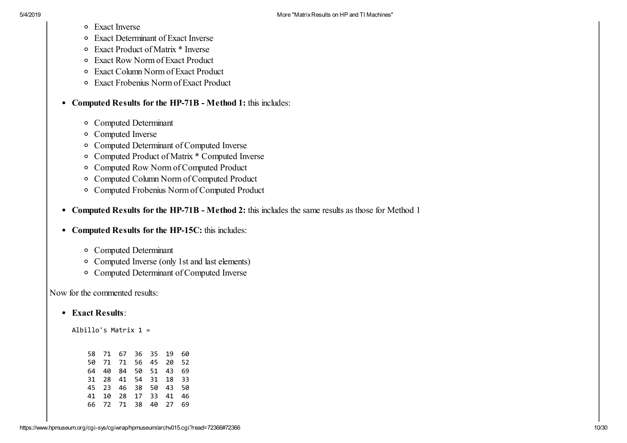- Exact Inverse
- Exact Determinant of Exact Inverse
- Exact Product of Matrix \* Inverse
- Exact Row Norm of Exact Product
- Exact Column Norm of Exact Product
- Exact Frobenius Norm of Exact Product

#### • Computed Results for the HP-71B - Method 1: this includes:

- Computed Determinant
- Computed Inverse
- Computed Determinant of Computed Inverse
- Computed Product of Matrix \* Computed Inverse
- Computed Row Norm of Computed Product
- Computed Column Norm of Computed Product
- Computed Frobenius Norm of Computed Product
- Computed Results for the HP-71B Method 2: this includes the same results as those for Method 1
- Computed Results for the HP-15C: this includes:
	- Computed Determinant
	- Computed Inverse (only 1st and last elements)
	- Computed Determinant of Computed Inverse

Now for the commented results:

• Exact Results:

Albillo's Matrix 1 =

|      | 58 71 67 36 35 19    |                |  |    | 60 |
|------|----------------------|----------------|--|----|----|
|      |                      |                |  |    |    |
|      | 50 71 71 56 45 20 52 |                |  |    |    |
| 64 - |                      | 40 84 50 51 43 |  |    | 69 |
|      | 31 28 41 54 31 18 33 |                |  |    |    |
|      | 45 23 46 38 50 43 50 |                |  |    |    |
| 41   |                      | 10 28 17 33    |  | 41 | 46 |
|      | 66 72 71 38 40 27    |                |  |    | 69 |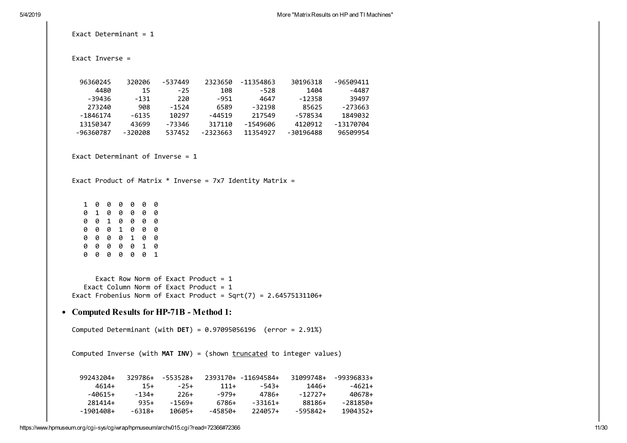Exact Determinant =  $1$ 

Exact Inverse =

| 96360245  | 320206  | -537449 | 2323650  | -11354863 | 30196318   | -96509411 |
|-----------|---------|---------|----------|-----------|------------|-----------|
| 4480      | 15      | -25     | 108      | -528      | 1404       | -4487     |
| -39436    | -131    | 220     | -951     | 4647      | -12358     | 39497     |
| 273240    | 908     | -1524   | 6589     | -32198    | 85625      | -273663   |
| -1846174  | -6135   | 10297   | -44519   | 217549    | -578534    | 1849032   |
| 13150347  | 43699   | -73346  | 317110   | -1549606  | 4120912    | -13170704 |
| -96360787 | -320208 | 537452  | -2323663 | 11354927  | - 30196488 | 96509954  |

Exact Determinant of Inverse = 1

Exact Product of Matrix  $*$  Inverse = 7x7 Identity Matrix =

 0 0 0 0 0 0 1 0 0 0 0 0 0 1 0 0 0 0 0 0 1 0 0 0 0 0 0 1 0 0 0 0 0 0 1 0 0 0 0 0 0 1

Exact Row Norm of Exact Product =  $1$ Exact Column Norm of Exact Product = 1 Exact Frobenius Norm of Exact Product =  $Sqrt(7) = 2.64575131106+$ 

Computed Results for HP-71B - Method 1:

Computed Determinant (with DET) = 0.97095056196 (error = 2.91%)

Computed Inverse (with MAT INV) = (shown truncated to integer values)

| 99243204+ | 329786+ | -553528+ |         | 2393170+ -11694584+ | 31099748+ | -99396833+ |
|-----------|---------|----------|---------|---------------------|-----------|------------|
| 4614+     | $15+$   | -25+     | $111 +$ | -543+               | 1446+     | -4621+     |
| -40615+   | -134+   | 226+     | -979+   | 4786+               | -12727+   | 40678+     |
| 281414+   | 935+    | -1569+   | 6786+   | -33161+             | 88186+    | -281850+   |
| -1901408+ | -6318+  | 10605+   | -45850+ | 224057+             | -595842+  | 1904352+   |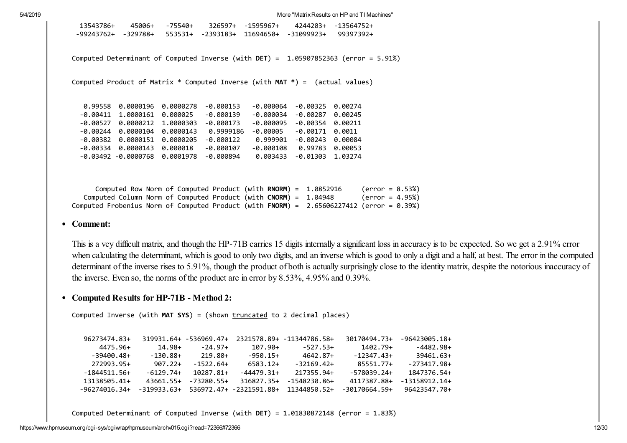5/4/2019 More "MatrixResults on HP and TI Machines" 13543786+ 45006+ -75540+ 326597+ -1595967+ 4244203+ -13564752+ -99243762+ -329788+ 553531+ -2393183+ 11694650+ -31099923+ 99397392+ Computed Determinant of Computed Inverse (with DET) = 1.05907852363 (error = 5.91%) Computed Product of Matrix \* Computed Inverse (with MAT \*) = (actual values) 0.99558 0.0000196 0.0000278 -0.000153 -0.000064 -0.00325 0.00274 -0.00411 1.0000161 0.000025 -0.000139 -0.000034 -0.00287 0.00245 -0.00527 0.0000212 1.0000303 -0.000173 -0.000095 -0.00354 0.00211 -0.00244 0.0000104 0.0000143 0.9999186 -0.00005 -0.00171 0.0011 -0.00382 0.0000151 0.0000205 -0.000122 0.999901 -0.00243 0.00084 -0.00334 0.0000143 0.000018 -0.000107 -0.000108 0.99783 0.00053 -0.03492 -0.0000768 0.0001978 -0.000894 0.003433 -0.01303 1.03274

> Computed Row Norm of Computed Product (with RNORM) = 1.0852916 (error = 8.53%) Computed Column Norm of Computed Product (with CNORM) = 1.04948 (error = 4.95%) Computed Frobenius Norm of Computed Product (with FNORM) = 2.65606227412 (error = 0.39%)

#### Comment:

This is a vey difficult matrix, and though the HP-71B carries 15 digits internally a significant loss in accuracy is to be expected. So we get a 2.91% error when calculating the determinant, which is good to only two digits, and an inverse which is good to only a digit and a half, at best. The error in the computed determinant of the inverse rises to 5.91%, though the product of both is actually surprisingly close to the identity matrix, despite the notorious inaccuracy of the inverse. Even so, the norms of the product are in error by 8.53%, 4.95% and 0.39%.

#### Computed Results for HP-71B - Method 2:

Computed Inverse (with MAT SYS) = (shown  $truncated to 2 decimal places$ )</u>

96273474.83+ 319931.64+ -536969.47+ 2321578.89+ -11344786.58+ 30170494.73+ -96423005.18+ 4475.96+ 14.98+ -24.97+ 107.90+ -527.53+ 1402.79+ -4482.98+ -39400.48+ -130.88+ 219.80+ -950.15+ 4642.87+ -12347.43+ 39461.63+ 272993.95+ 907.22+ -1522.64+ 6583.12+ -32169.42+ 85551.77+ -273417.98+ -1844511.56+ -6129.74+ 10287.81+ -44479.31+ 217355.94+ -578039.24+ 1847376.54+ 13138505.41+ 43661.55+ -73280.55+ 316827.35+ -1548230.86+ 4117387.88+ -13158912.14+ -96274016.34+ -319933.63+ 536972.47+ -2321591.88+ 11344850.52+ -30170664.59+ 96423547.70+

Computed Determinant of Computed Inverse (with DET) = 1.01830872148 (error = 1.83%)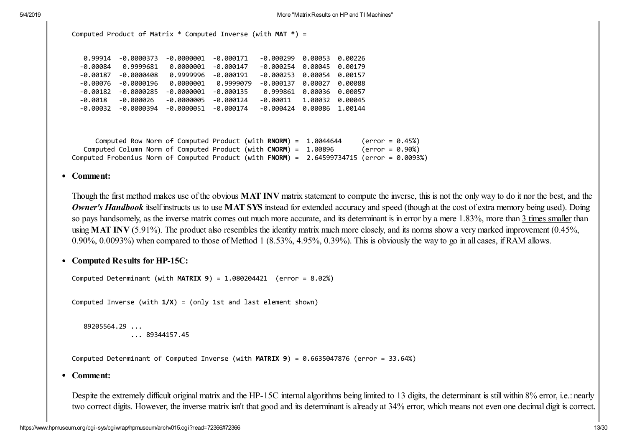Computed Product of Matrix  $*$  Computed Inverse (with MAT  $*) =$ 

| 0.99914  | -0.0000373 | -0.0000001 | -0.000171   |                             |                 |  |
|----------|------------|------------|-------------|-----------------------------|-----------------|--|
| -0.00084 | 0.9999681  | 0.0000001  | -0.000147   | -0.000254                   | 0.00045 0.00179 |  |
| -0.00187 | -0.0000408 | 0.9999996  | $-0.000191$ | $-0.000253$ 0.00054 0.00157 |                 |  |
| -0.00076 | -0.0000196 | 0.0000001  | 0.9999079   | $-0.000137$ 0.00027 0.00088 |                 |  |
| -0.00182 | -0.0000285 | -0.0000001 | $-0.000135$ |                             |                 |  |
| -0.0018  | -0.000026  | -0.0000005 | -0.000124   | -0.00011                    |                 |  |
| -0.00032 | -0.0000394 | -0.0000051 | -0.000174   | -0.000424                   | 0.00086 1.00144 |  |

|                                                                 |  |  |  | Computed Row Norm of Computed Product (with $RNORM$ ) = 1.0044644                             | $(error = 0.45%)$ |  |
|-----------------------------------------------------------------|--|--|--|-----------------------------------------------------------------------------------------------|-------------------|--|
| Computed Column Norm of Computed Product (with CNORM) = 1.00896 |  |  |  |                                                                                               | (error = 0.90%)   |  |
|                                                                 |  |  |  | Computed Frobenius Norm of Computed Product (with $FNORM$ ) = 2.64599734715 (error = 0.0093%) |                   |  |

#### Comment:

Though the first method makes use of the obvious MAT INV matrix statement to compute the inverse, this is not the only way to do it nor the best, and the *Owner's Handbook* itself instructs us to use MAT SYS instead for extended accuracy and speed (though at the cost of extra memory being used). Doing so pays handsomely, as the inverse matrix comes out much more accurate, and its determinant is in error by a mere 1.83%, more than 3 times smaller than using **MAT INV** (5.91%). The product also resembles the identity matrix much more closely, and its norms show a very marked improvement (0.45%, 0.90%, 0.0093%) when compared to those of Method 1 (8.53%, 4.95%, 0.39%). This is obviously the way to go in all cases, if RAM allows.

#### Computed Results for HP-15C:

Computed Determinant (with MATRIX  $9$ ) = 1.080204421 (error = 8.02%)

Computed Inverse (with  $1/X$ ) = (only 1st and last element shown)

```
89205564.29 ...
            ... 89344157.45
```
Computed Determinant of Computed Inverse (with MATRIX 9) = 0.6635047876 (error = 33.64%)

#### Comment:

Despite the extremely difficult original matrix and the HP-15C internal algorithms being limited to 13 digits, the determinant is still within 8% error, i.e.: nearly two correct digits. However, the inverse matrix isn't that good and its determinant is already at 34% error, which means not even one decimal digit is correct.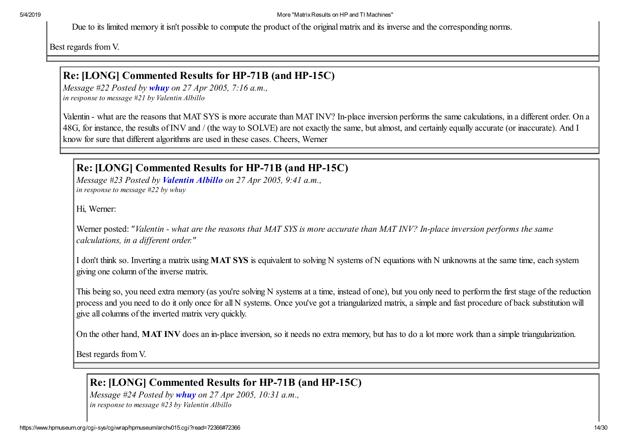Due to its limited memory it isn't possible to compute the product of the original matrix and its inverse and the corresponding norms.

Best regards from V.

# Re: [LONG] Commented Results for HP-71B (and HP-15C)

*Message #22 Posted by [whuy](https://www.hpmuseum.org/cgi-sys/cgiwrap/hpmuseum/archv015.cgi?contact=72453) on 27 Apr 2005, 7:16 a.m., in response to message #21 by Valentin Albillo*

Valentin - what are the reasons that MAT SYS is more accurate than MAT INV? In-place inversion performs the same calculations, in a different order. On a 48G, for instance, the results of INV and / (the way to SOLVE) are not exactly the same, but almost, and certainly equally accurate (or inaccurate). And I know for sure that different algorithms are used in these cases. Cheers, Werner

## Re: [LONG] Commented Results for HP-71B (and HP-15C)

*Message #23 Posted by [Valentin Albillo](https://www.hpmuseum.org/cgi-sys/cgiwrap/hpmuseum/archv015.cgi?contact=72463) on 27 Apr 2005, 9:41 a.m., in response to message #22 by whuy*

Hi, Werner:

Werner posted: *"Valentin - what are the reasons that MAT SYS is more accurate than MAT INV? In-place inversion performs the same calculations, in a different order."* 

I don't think so. Inverting a matrix using MAT SYS is equivalent to solving N systems of N equations with N unknowns at the same time, each system giving one column of the inverse matrix.

This being so, you need extra memory (as you're solving N systems at a time, instead of one), but you only need to perform the first stage of the reduction process and you need to do it only once for all N systems. Once you've got a triangularized matrix, a simple and fast procedure of back substitution will give all columns of the inverted matrix very quickly.

On the other hand, MAT INV does an in-place inversion, so it needs no extra memory, but has to do a lot more work than a simple triangularization.

Best regards from V.

## Re: [LONG] Commented Results for HP-71B (and HP-15C)

*Message #24 Posted by [whuy](https://www.hpmuseum.org/cgi-sys/cgiwrap/hpmuseum/archv015.cgi?contact=72468) on 27 Apr 2005, 10:31 a.m., in response to message #23 by Valentin Albillo*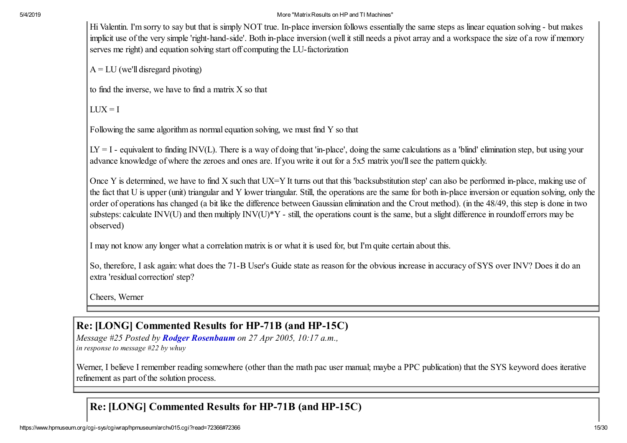Hi Valentin. I'm sorry to say but that is simply NOT true. In-place inversion follows essentially the same steps as linear equation solving - but makes implicit use of the very simple 'right-hand-side'. Both in-place inversion (well it still needs a pivot array and a workspace the size of a row if memory serves me right) and equation solving start off computing the LU-factorization

 $A = LU$  (we'll disregard pivoting)

to find the inverse, we have to find a matrix X so that

 $LIIX = I$ 

Following the same algorithm as normal equation solving, we must find Y so that

 $LY = I$  - equivalent to finding INV(L). There is a way of doing that 'in-place', doing the same calculations as a 'blind' elimination step, but using your advance knowledge of where the zeroes and ones are. If you write it out for a 5x5 matrix you'll see the pattern quickly.

Once Y is determined, we have to find X such that UX=Y It turns out that this 'backsubstitution step' can also be performed in-place, making use of the fact that U is upper (unit) triangular and Y lower triangular. Still, the operations are the same for both in-place inversion or equation solving, only the order of operations has changed (a bit like the difference between Gaussian elimination and the Crout method). (in the 48/49, this step is done in two substeps: calculate INV(U) and then multiply INV(U)\*Y - still, the operations count is the same, but a slight difference in roundoff errors may be observed)

I may not know any longer what a correlation matrix is or what it is used for, but I'm quite certain about this.

So, therefore, I ask again: what does the 71-B User's Guide state as reason for the obvious increase in accuracy of SYS over INV? Does it do an extra 'residual correction' step?

Cheers, Werner

# Re: [LONG] Commented Results for HP-71B (and HP-15C)

*Message #25 Posted by [Rodger Rosenbaum](https://www.hpmuseum.org/cgi-sys/cgiwrap/hpmuseum/archv015.cgi?contact=72466) on 27 Apr 2005, 10:17 a.m., in response to message #22 by whuy*

Werner, I believe I remember reading somewhere (other than the math pac user manual; maybe a PPC publication) that the SYS keyword does iterative refinement as part of the solution process.

# Re: [LONG] Commented Results for HP-71B (and HP-15C)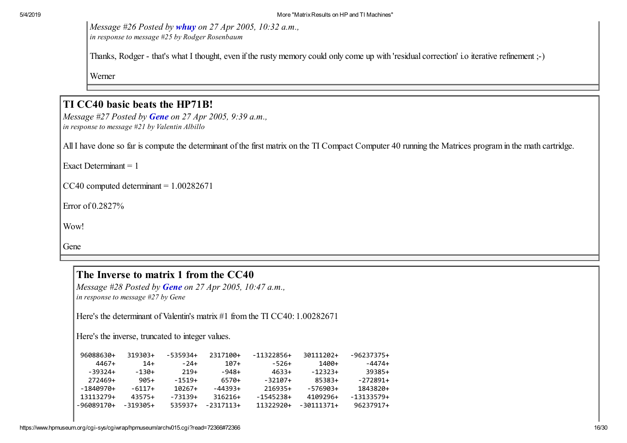*Message #26 Posted by [whuy](https://www.hpmuseum.org/cgi-sys/cgiwrap/hpmuseum/archv015.cgi?contact=72469) on 27 Apr 2005, 10:32 a.m., in response to message #25 by Rodger Rosenbaum*

Thanks, Rodger - that's what I thought, even if the rusty memory could only come up with 'residual correction' i.o iterative refinement ;-)

Werner

#### TI CC40 basic beats the HP71B!

*Message #27 Posted by [Gene](https://www.hpmuseum.org/cgi-sys/cgiwrap/hpmuseum/archv015.cgi?contact=72461) on 27 Apr 2005, 9:39 a.m., in response to message #21 by Valentin Albillo*

All I have done so far is compute the determinant of the first matrix on the TI Compact Computer 40 running the Matrices program in the math cartridge.

Exact Determinant  $= 1$ 

CC40 computed determinant  $= 1.00282671$ 

Error of 0.2827%

Wow!

Gene

### The Inverse to matrix 1 from the CC40

*Message #28 Posted by [Gene](https://www.hpmuseum.org/cgi-sys/cgiwrap/hpmuseum/archv015.cgi?contact=72482) on 27 Apr 2005, 10:47 a.m., in response to message #27 by Gene*

Here's the determinant of Valentin's matrix #1 from the TI CC40: 1.00282671

Here's the inverse, truncated to integer values.

| 96088630+  | 319303+  | -535934+ | 2317100+    | -11322856+   | 30111202+  | $-96237375+$ |
|------------|----------|----------|-------------|--------------|------------|--------------|
| 4467+      | 14+      | -24+     | $107+$      | -526+        | 1400+      | -4474+       |
| -39324+    | -130+    | $219+$   | -948+       | 4633+        | -12323+    | 39385+       |
| 272469+    | $905+$   | $-1519+$ | 6570+       | -32107+      | 85383+     | -272891+     |
| -1840970+  | $-6117+$ | $10267+$ | -44393+     | 216935+      | -576903+   | 1843820+     |
| 13113279+  | 43575+   | -73139+  | 316216+     | -1545238+    | 4109296+   | $-13133579+$ |
| -96089170+ | -319305+ | 535937+  | $-2317113+$ | $11322920 +$ | -30111371+ | 96237917+    |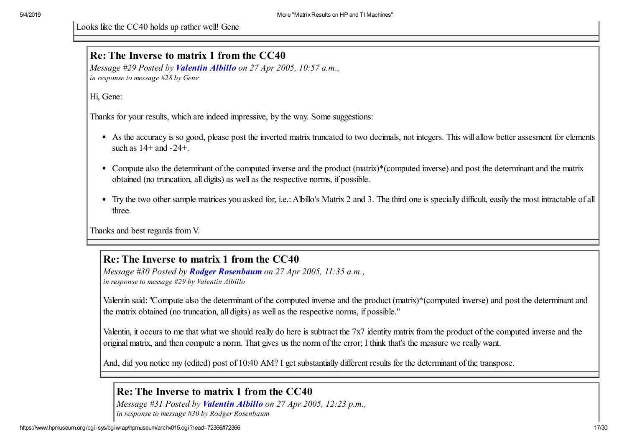Looks like the CC40 holds up rather well! Gene

#### Re: The Inverse to matrix 1 from the CC40

*Message #29 Posted by [Valentin Albillo](https://www.hpmuseum.org/cgi-sys/cgiwrap/hpmuseum/archv015.cgi?contact=72486) on 27 Apr 2005, 10:57 a.m., in response to message #28 by Gene*

Hi, Gene:

Thanks for your results, which are indeed impressive, by the way. Some suggestions:

- As the accuracy is so good, please post the inverted matrix truncated to two decimals, not integers. This will allow better assesment for elements such as  $14+$  and  $-24+$ .
- Compute also the determinant of the computed inverse and the product (matrix)\*(computed inverse) and post the determinant and the matrix obtained (no truncation, all digits) as well as the respective norms, if possible.
- Try the two other sample matrices you asked for, i.e.: Albillo's Matrix 2 and 3. The third one is specially difficult, easily the most intractable of all three.

Thanks and best regards from V.

### Re: The Inverse to matrix 1 from the CC40

*Message #30 Posted by [Rodger Rosenbaum](https://www.hpmuseum.org/cgi-sys/cgiwrap/hpmuseum/archv015.cgi?contact=72489) on 27 Apr 2005, 11:35 a.m., in response to message #29 by Valentin Albillo*

Valentin said: "Compute also the determinant of the computed inverse and the product (matrix)\*(computed inverse) and post the determinant and the matrix obtained (no truncation, all digits) as well as the respective norms, if possible."

Valentin, it occurs to me that what we should really do here is subtract the 7x7 identity matrix from the product of the computed inverse and the original matrix, and then compute a norm. That gives us the norm of the error; I think that's the measure we really want.

And, did you notice my (edited) post of 10:40 AM? I get substantially different results for the determinant of the transpose.

# Re: The Inverse to matrix 1 from the CC40

*Message #31 Posted by [Valentin Albillo](https://www.hpmuseum.org/cgi-sys/cgiwrap/hpmuseum/archv015.cgi?contact=72508) on 27 Apr 2005, 12:23 p.m., in response to message #30 by Rodger Rosenbaum*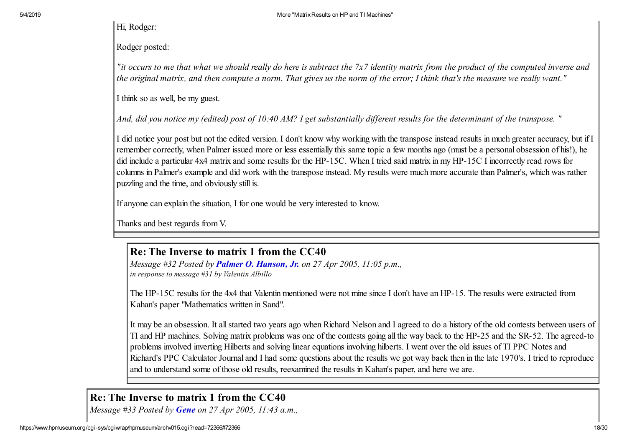Hi, Rodger:

Rodger posted:

*"it occurs to me that what we should really do here is subtract the 7x7 identity matrix from the product of the computed inverse and the original matrix, and then compute a norm. That gives us the norm of the error; I think that's the measure we really want."*

I think so as well, be my guest.

And, did you notice my (edited) post of 10:40 AM? I get substantially different results for the determinant of the transpose. "

I did notice your post but not the edited version. I don't know why working with the transpose instead results in much greater accuracy, but if I remember correctly, when Palmer issued more or less essentially this same topic a few months ago (must be a personal obsession of his!), he did include a particular 4x4 matrix and some results for the HP-15C. When I tried said matrix in my HP-15C I incorrectly read rows for columns in Palmer's example and did work with the transpose instead. My results were much more accurate than Palmer's, which was rather puzzling and the time, and obviously still is.

If anyone can explain the situation, I for one would be very interested to know.

Thanks and best regards from V.

# Re: The Inverse to matrix 1 from the CC40

*Message #32 Posted by [Palmer O. Hanson, Jr.](https://www.hpmuseum.org/cgi-sys/cgiwrap/hpmuseum/archv015.cgi?contact=72530) on 27 Apr 2005, 11:05 p.m., in response to message #31 by Valentin Albillo*

The HP-15C results for the 4x4 that Valentin mentioned were not mine since I don't have an HP-15. The results were extracted from Kahan's paper "Mathematics written in Sand".

It may be an obsession. It all started two years ago when Richard Nelson and I agreed to do a history of the old contests between users of TI and HP machines. Solving matrix problems was one of the contests going all the way back to the HP-25 and the SR-52. The agreed-to problems involved inverting Hilberts and solving linear equations involving hilberts. I went over the old issues of TI PPC Notes and Richard's PPC Calculator Journal and I had some questions about the results we got way back then in the late 1970's. I tried to reproduce and to understand some of those old results, reexamined the results in Kahan's paper, and here we are.

# Re: The Inverse to matrix 1 from the CC40

*Message #33 Posted by [Gene](https://www.hpmuseum.org/cgi-sys/cgiwrap/hpmuseum/archv015.cgi?contact=72500) on 27 Apr 2005, 11:43 a.m.,*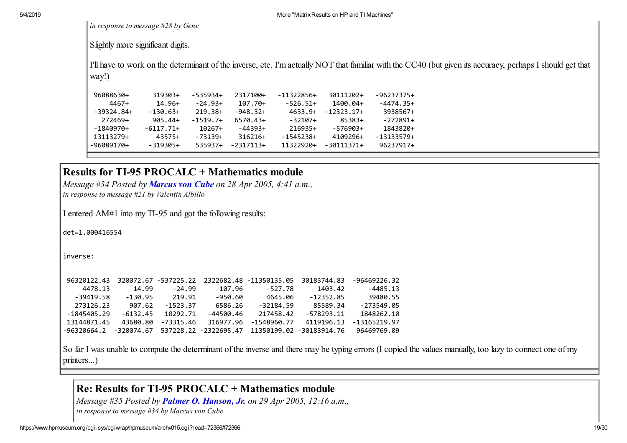*in response to message #28 by Gene*

Slightly more significant digits.

I'll have to work on the determinant of the inverse, etc. I'm actually NOT that familiar with the CC40 (but given its accuracy, perhaps I should get that way!)

| 96088630+    | $319303+$   | -535934+   | 2317100+    | -11322856+ | 30111202+    | -96237375+   |
|--------------|-------------|------------|-------------|------------|--------------|--------------|
| 4467+        | 14.96+      | $-24.93+$  | $107.70+$   | $-526.51+$ | 1400.04+     | $-4474.35+$  |
| $-39324.84+$ | $-130.63+$  | $219.38+$  | $-948.32+$  | 4633.9+    | $-12323.17+$ | 3938567+     |
| 272469+      | $905.44+$   | $-1519.7+$ | 6570.43+    | -32107+    | 85383+       | -272891+     |
| -1840970+    | $-6117.71+$ | $10267+$   | -44393+     | 216935+    | -576903+     | 1843820+     |
| 13113279+    | 43575+      | -73139+    | 316216+     | -1545238+  | 4109296+     | $-13133579+$ |
| -96089170+   | $-319305+$  | 535937+    | $-2317113+$ | 11322920+  | $-30111371+$ | 96237917+    |

## Results for TI-95 PROCALC + Mathematics module

*Message #34 Posted by [Marcus von Cube](https://www.hpmuseum.org/cgi-sys/cgiwrap/hpmuseum/archv015.cgi?contact=72545) on 28 Apr 2005, 4:41 a.m., in response to message #21 by Valentin Albillo*

I entered AM#1 into my TI-95 and got the following results:

det=1.000416554

inverse:

| 320072.67 -537225.22<br>2322682.48 -11350135.05 30183744.83<br>96320122.43<br>-96469226.32     |
|------------------------------------------------------------------------------------------------|
|                                                                                                |
| $-24.99$<br>107.96<br>14.99<br>1403.42<br>4478.13<br>-527.78<br>-4485.13                       |
| 219.91<br>-39419.58<br>$-130.95$<br>-950.60<br>-12352.85<br>39480.55<br>4645.06                |
| $-32184.59$<br>273126.23<br>907.62<br>6586.26<br>85589.34<br>-273549.05<br>$-1523.37$          |
| 10292.71<br>-44500.46<br>217458.42<br>-578293.11<br>-1845405.29<br>1848262.10<br>$-6132.45$    |
| 43680.80<br>316977.96<br>4119196.13<br>-13165219.97<br>13144871.45<br>-73315.46<br>-1548960.77 |
| 537228.22 -2322695.47 11350199.02 -30183914.76<br>96469769.09<br>-320074.67<br>-96320664.2     |

So far I was unable to compute the determinant of the inverse and there may be typing errors (I copied the values manually, too lazy to connect one of my printers...)

#### Re: Results for TI-95 PROCALC + Mathematics module

*Message #35 Posted by [Palmer O. Hanson, Jr.](https://www.hpmuseum.org/cgi-sys/cgiwrap/hpmuseum/archv015.cgi?contact=72612) on 29 Apr 2005, 12:16 a.m., in response to message #34 by Marcus von Cube*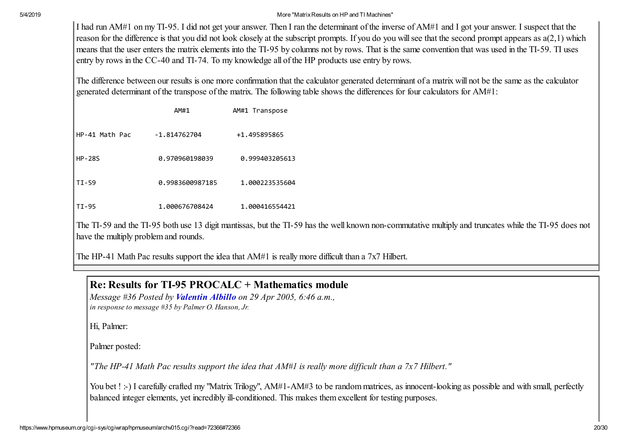I had run AM#1 on my TI-95. I did not get your answer. Then I ran the determinant of the inverse of AM#1 and I got your answer. I suspect that the reason for the difference is that you did not look closely at the subscript prompts. If you do you will see that the second prompt appears as a(2,1) which means that the user enters the matrix elements into the TI-95 by columns not by rows. That is the same convention that was used in the TI-59. TI uses entry by rows in the CC-40 and TI-74. To my knowledge all of the HP products use entry by rows.

The difference between our results is one more confirmation that the calculator generated determinant of a matrix will not be the same as the calculator generated determinant of the transpose of the matrix. The following table shows the differences for four calculators for AM#1:

|                | AM#1            | AM#1 Transpose |
|----------------|-----------------|----------------|
| HP-41 Math Pac | $-1.814762704$  | +1.495895865   |
| <b>HP-28S</b>  | 0.970960198039  | 0.999403205613 |
| TI-59          | 0.9983600987185 | 1.000223535604 |
| TI-95          | 1.000676708424  | 1.000416554421 |

The TI-59 and the TI-95 both use 13 digit mantissas, but the TI-59 has the well known non-commutative multiply and truncates while the TI-95 does not have the multiply problem and rounds.

The HP-41 Math Pac results support the idea that AM#1 is really more difficult than a 7x7 Hilbert.

#### Re: Results for TI-95 PROCALC + Mathematics module

*Message #36 Posted by [Valentin Albillo](https://www.hpmuseum.org/cgi-sys/cgiwrap/hpmuseum/archv015.cgi?contact=72630) on 29 Apr 2005, 6:46 a.m., in response to message #35 by Palmer O. Hanson, Jr.*

Hi, Palmer:

Palmer posted:

*"The HP-41 Math Pac results support the idea that AM#1 is really more dif icult than a 7x7 Hilbert."*

You bet ! :-) I carefully crafted my "Matrix Trilogy", AM#1-AM#3 to be random matrices, as innocent-looking as possible and with small, perfectly balanced integer elements, yet incredibly ill-conditioned. This makes them excellent for testing purposes.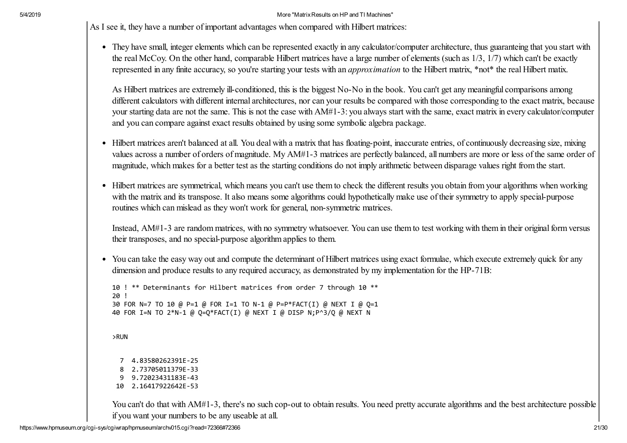As I see it, they have a number of important advantages when compared with Hilbert matrices:

• They have small, integer elements which can be represented exactly in any calculator/computer architecture, thus guaranteing that you start with the real McCoy. On the other hand, comparable Hilbert matrices have a large number of elements (such as 1/3, 1/7) which can't be exactly represented in any finite accuracy, so you're starting your tests with an *approximation* to the Hilbert matrix, \*not\* the real Hilbert matix.

As Hilbert matrices are extremely ill-conditioned, this is the biggest No-No in the book. You can't get any meaningful comparisons among different calculators with different internal architectures, nor can your results be compared with those corresponding to the exact matrix, because your starting data are not the same. This is not the case with AM#1-3: you always start with the same, exact matrix in every calculator/computer and you can compare against exact results obtained by using some symbolic algebra package.

- Hilbert matrices aren't balanced at all. You deal with a matrix that has floating-point, inaccurate entries, of continuously decreasing size, mixing values across a number of orders of magnitude. My AM#1-3 matrices are perfectly balanced, all numbers are more or less of the same order of magnitude, which makes for a better test as the starting conditions do not imply arithmetic between disparage values right from the start.
- Hilbert matrices are symmetrical, which means you can't use them to check the different results you obtain from your algorithms when working with the matrix and its transpose. It also means some algorithms could hypothetically make use of their symmetry to apply special-purpose routines which can mislead as they won't work for general, non-symmetric matrices.

Instead, AM#1-3 are random matrices, with no symmetry whatsoever. You can use them to test working with them in their original form versus their transposes, and no special-purpose algorithm applies to them.

• You can take the easy way out and compute the determinant of Hilbert matrices using exact formulae, which execute extremely quick for any dimension and produce results to any required accuracy, as demonstrated by my implementation for the HP-71B:

```
10 ! ** Determinants for Hilbert matrices from order 7 through 10 **
20 !
30 FOR N=7 TO 10 @ P=1 @ FOR I=1 TO N-1 @ P=P*FACT(I) @ NEXT I @ Q=1
40 FOR I=N TO 2*N-1 @ Q=Q*FACT(I) @ NEXT I @ DISP N;P^3/Q @ NEXT N
```
>RUN

```
7 4.83580262391E-25
 8 2.73705011379E-33
9 9.72023431183E-43
10 2.16417922642E-53
```
You can't do that with AM#1-3, there's no such cop-out to obtain results. You need pretty accurate algorithms and the best architecture possible if you want your numbers to be any useable at all.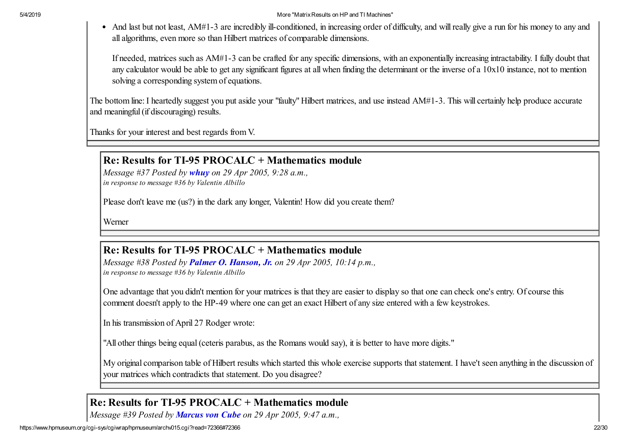• And last but not least, AM#1-3 are incredibly ill-conditioned, in increasing order of difficulty, and will really give a run for his money to any and all algorithms, even more so than Hilbert matrices of comparable dimensions.

If needed, matrices such as AM#1-3 can be crafted for any specific dimensions, with an exponentially increasing intractability. I fully doubt that any calculator would be able to get any significant figures at all when finding the determinant or the inverse of a 10x10 instance, not to mention solving a corresponding system of equations.

The bottom line: I heartedly suggest you put aside your "faulty" Hilbert matrices, and use instead AM#1-3. This will certainly help produce accurate and meaningful (if discouraging) results.

Thanks for your interest and best regards from V.

## Re: Results for TI-95 PROCALC + Mathematics module

*Message #37 Posted by [whuy](https://www.hpmuseum.org/cgi-sys/cgiwrap/hpmuseum/archv015.cgi?contact=72631) on 29 Apr 2005, 9:28 a.m., in response to message #36 by Valentin Albillo*

Please don't leave me (us?) in the dark any longer, Valentin! How did you create them?

Werner

### Re: Results for TI-95 PROCALC + Mathematics module

*Message #38 Posted by [Palmer O. Hanson, Jr.](https://www.hpmuseum.org/cgi-sys/cgiwrap/hpmuseum/archv015.cgi?contact=72672) on 29 Apr 2005, 10:14 p.m., in response to message #36 by Valentin Albillo*

One advantage that you didn't mention for your matrices is that they are easier to display so that one can check one's entry. Of course this comment doesn't apply to the HP-49 where one can get an exact Hilbert of any size entered with a few keystrokes.

In his transmission of April 27 Rodger wrote:

"All other things being equal (ceteris parabus, as the Romans would say), it is better to have more digits."

My original comparison table of Hilbert results which started this whole exercise supports that statement. I have't seen anything in the discussion of your matrices which contradicts that statement. Do you disagree?

## Re: Results for TI-95 PROCALC + Mathematics module

*Message #39 Posted by [Marcus von Cube](https://www.hpmuseum.org/cgi-sys/cgiwrap/hpmuseum/archv015.cgi?contact=72635) on 29 Apr 2005, 9:47 a.m.,*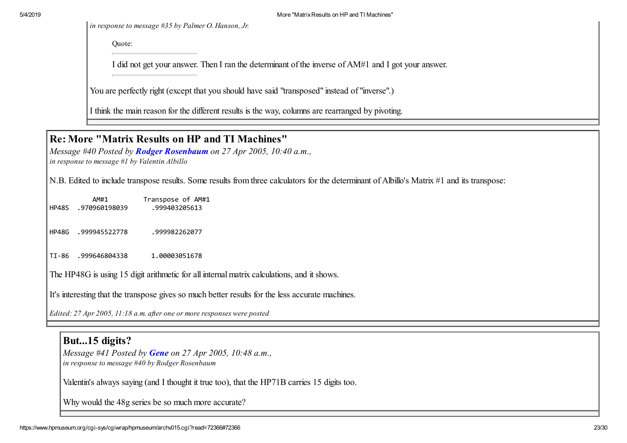*in response to message #35 by Palmer O. Hanson, Jr.*

Quote:

I did not get your answer. Then I ran the determinant of the inverse of AM#1 and I got your answer.

You are perfectly right (except that you should have said "transposed" instead of "inverse".)

I think the main reason for the different results is the way, columns are rearranged by pivoting.

## Re: More "Matrix Results on HP and TI Machines"

*Message #40 Posted by [Rodger Rosenbaum](https://www.hpmuseum.org/cgi-sys/cgiwrap/hpmuseum/archv015.cgi?contact=72471) on 27 Apr 2005, 10:40 a.m., in response to message #1 by Valentin Albillo*

N.B. Edited to include transpose results. Some results from three calculators for the determinant of Albillo's Matrix #1 and its transpose:

AM#1 Transpose of AM#1 HP48S .970960198039 .999403205613 HP48G .999945522778 .999982262077 TI-86 .999646804338 1.00003051678 The HP48G is using 15 digit arithmetic for all internal matrix calculations, and it shows.

It's interesting that the transpose gives so much better results for the less accurate machines.

*Edited: 27 Apr 2005, 11:18 a.m. after one or more responses were posted*

### But...15 digits?

*Message #41 Posted by [Gene](https://www.hpmuseum.org/cgi-sys/cgiwrap/hpmuseum/archv015.cgi?contact=72483) on 27 Apr 2005, 10:48 a.m., in response to message #40 by Rodger Rosenbaum*

Valentin's always saying (and I thought it true too), that the HP71B carries 15 digits too.

Why would the 48g series be so much more accurate?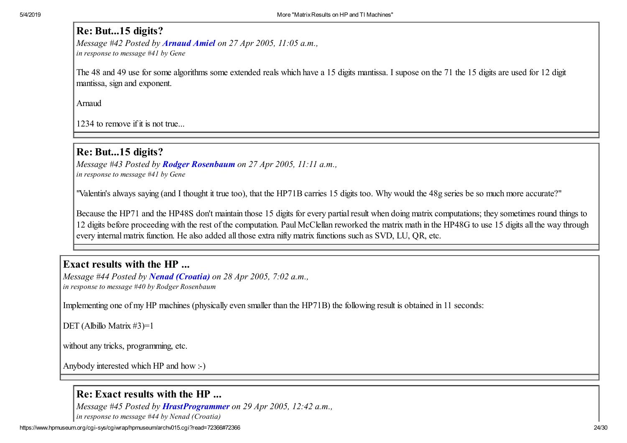### Re: But...15 digits?

*Message #42 Posted by [Arnaud Amiel](https://www.hpmuseum.org/cgi-sys/cgiwrap/hpmuseum/archv015.cgi?contact=72487) on 27 Apr 2005, 11:05 a.m., in response to message #41 by Gene*

The 48 and 49 use for some algorithms some extended reals which have a 15 digits mantissa. I supose on the 71 the 15 digits are used for 12 digit mantissa, sign and exponent.

Arnaud

1234 to remove if it is not true.

## Re: But...15 digits?

*Message #43 Posted by [Rodger Rosenbaum](https://www.hpmuseum.org/cgi-sys/cgiwrap/hpmuseum/archv015.cgi?contact=72488) on 27 Apr 2005, 11:11 a.m., in response to message #41 by Gene*

"Valentin's always saying (and I thought it true too), that the HP71B carries 15 digits too. Why would the 48g series be so much more accurate?"

Because the HP71 and the HP48S don't maintain those 15 digits for every partial result when doing matrix computations; they sometimes round things to 12 digits before proceeding with the rest of the computation. Paul McClellan reworked the matrix math in the HP48G to use 15 digits all the way through every internal matrix function. He also added all those extra nifty matrix functions such as SVD, LU, QR, etc.

## Exact results with the HP ...

*Message #44 Posted by [Nenad \(Croatia\)](https://www.hpmuseum.org/cgi-sys/cgiwrap/hpmuseum/archv015.cgi?contact=72562) on 28 Apr 2005, 7:02 a.m., in response to message #40 by Rodger Rosenbaum*

Implementing one of my HP machines (physically even smaller than the HP71B) the following result is obtained in 11 seconds:

DET (Albillo Matrix #3)=1

without any tricks, programming, etc.

Anybody interested which HP and how :-)

#### Re: Exact results with the HP ...

*Message #45 Posted by [HrastProgrammer](https://www.hpmuseum.org/cgi-sys/cgiwrap/hpmuseum/archv015.cgi?contact=72614) on 29 Apr 2005, 12:42 a.m., in response to message #44 by Nenad (Croatia)*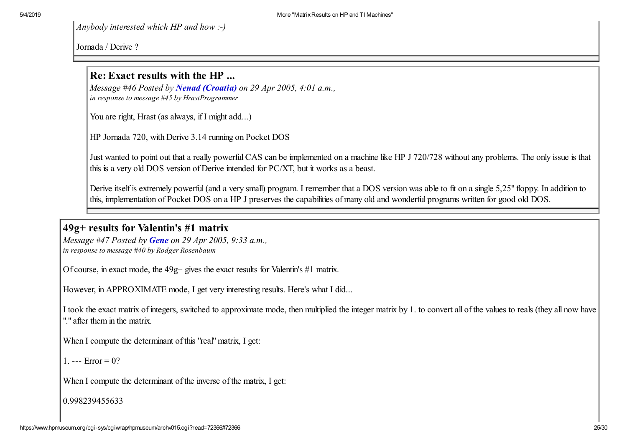*Anybody interested which HP and how :-)*

Jornada / Derive ?

#### Re: Exact results with the HP ...

*Message #46 Posted by [Nenad \(Croatia\)](https://www.hpmuseum.org/cgi-sys/cgiwrap/hpmuseum/archv015.cgi?contact=72616) on 29 Apr 2005, 4:01 a.m., in response to message #45 by HrastProgrammer*

You are right, Hrast (as always, if I might add...)

HP Jornada 720, with Derive 3.14 running on Pocket DOS

Just wanted to point out that a really powerful CAS can be implemented on a machine like HP J 720/728 without any problems. The only issue is that this is a very old DOS version of Derive intended for PC/XT, but it works as a beast.

Derive itself is extremely powerful (and a very small) program. I remember that a DOS version was able to fit on a single 5,25" floppy. In addition to this, implementation of Pocket DOS on a HP J preserves the capabilities of many old and wonderful programs written for good old DOS.

#### 49g+ results for Valentin's #1 matrix

*Message #47 Posted by [Gene](https://www.hpmuseum.org/cgi-sys/cgiwrap/hpmuseum/archv015.cgi?contact=72632) on 29 Apr 2005, 9:33 a.m., in response to message #40 by Rodger Rosenbaum*

Of course, in exact mode, the 49g+ gives the exact results for Valentin's #1 matrix.

However, in APPROXIMATE mode, I get very interesting results. Here's what I did...

I took the exact matrix of integers, switched to approximate mode, then multiplied the integer matrix by 1. to convert all of the values to reals (they all now have "." after them in the matrix.

When I compute the determinant of this "real" matrix, I get:

1. ---  $Error = 0?$ 

When I compute the determinant of the inverse of the matrix, I get:

0.998239455633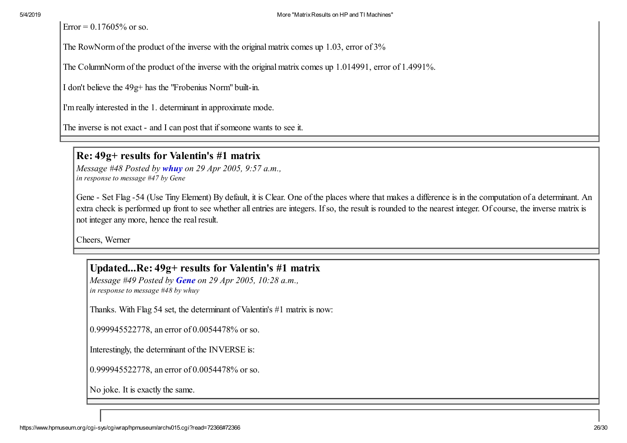$Error = 0.17605%$  or so.

5/4/2019 More "MatrixResults on HP and TI Machines"

The RowNorm of the product of the inverse with the original matrix comes up 1.03, error of 3%

The ColumnNorm of the product of the inverse with the original matrix comes up 1.014991, error of 1.4991%.

I don't believe the 49g+ has the "Frobenius Norm" built-in.

I'm really interested in the 1. determinant in approximate mode.

The inverse is not exact - and I can post that if someone wants to see it.

Re: 49g+ results for Valentin's #1 matrix

*Message #48 Posted by [whuy](https://www.hpmuseum.org/cgi-sys/cgiwrap/hpmuseum/archv015.cgi?contact=72636) on 29 Apr 2005, 9:57 a.m., in response to message #47 by Gene*

Gene - Set Flag -54 (Use Tiny Element) By default, it is Clear. One of the places where that makes a difference is in the computation of a determinant. An extra check is performed up front to see whether all entries are integers. If so, the result is rounded to the nearest integer. Of course, the inverse matrix is not integer any more, hence the real result.

Cheers, Werner

#### Updated...Re: 49g+ results for Valentin's #1 matrix

*Message #49 Posted by [Gene](https://www.hpmuseum.org/cgi-sys/cgiwrap/hpmuseum/archv015.cgi?contact=72638) on 29 Apr 2005, 10:28 a.m., in response to message #48 by whuy*

Thanks. With Flag 54 set, the determinant of Valentin's #1 matrix is now:

0.999945522778, an error of 0.0054478% or so.

Interestingly, the determinant of the INVERSE is:

0.999945522778, an error of 0.0054478% or so.

No joke. It is exactly the same.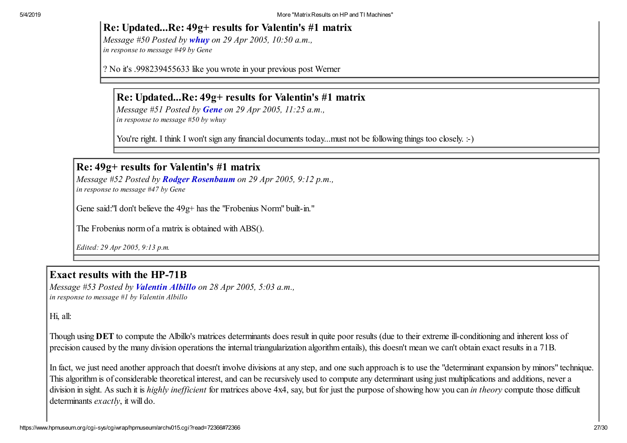#### Re: Updated...Re: 49g+ results for Valentin's #1 matrix

*Message #50 Posted by [whuy](https://www.hpmuseum.org/cgi-sys/cgiwrap/hpmuseum/archv015.cgi?contact=72641) on 29 Apr 2005, 10:50 a.m., in response to message #49 by Gene*

? No it's .998239455633 like you wrote in your previous post Werner

#### Re: Updated...Re: 49g+ results for Valentin's #1 matrix

*Message #51 Posted by [Gene](https://www.hpmuseum.org/cgi-sys/cgiwrap/hpmuseum/archv015.cgi?contact=72647) on 29 Apr 2005, 11:25 a.m., in response to message #50 by whuy*

You're right. I think I won't sign any financial documents today...must not be following things too closely. :-)

#### Re: 49g+ results for Valentin's #1 matrix

*Message #52 Posted by [Rodger Rosenbaum](https://www.hpmuseum.org/cgi-sys/cgiwrap/hpmuseum/archv015.cgi?contact=72670) on 29 Apr 2005, 9:12 p.m., in response to message #47 by Gene*

Gene said:"I don't believe the 49g+ has the "Frobenius Norm" built-in."

The Frobenius norm of a matrix is obtained with ABS().

*Edited: 29 Apr 2005, 9:13 p.m.*

# Exact results with the HP-71B

*Message #53 Posted by [Valentin Albillo](https://www.hpmuseum.org/cgi-sys/cgiwrap/hpmuseum/archv015.cgi?contact=72557) on 28 Apr 2005, 5:03 a.m., in response to message #1 by Valentin Albillo*

#### Hi, all:

Though using DET to compute the Albillo's matrices determinants does result in quite poor results (due to their extreme ill-conditioning and inherent loss of precision caused by the many division operations the internal triangularization algorithm entails), this doesn't mean we can't obtain exact results in a 71B.

In fact, we just need another approach that doesn't involve divisions at any step, and one such approach is to use the "determinant expansion by minors" technique. This algorithm is of considerable theoretical interest, and can be recursively used to compute any determinant using just multiplications and additions, never a division in sight. As such it is *highly inefficient* for matrices above 4x4, say, but for just the purpose of showing how you can *in theory* compute those difficult determinants *exactly*, it will do.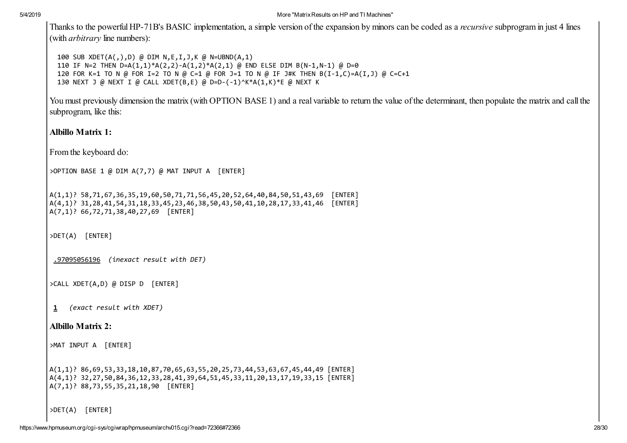Thanks to the powerful HP-71B's BASIC implementation, a simple version of the expansion by minors can be coded as a *recursive* subprogram in just 4 lines (with *arbitrary* line numbers):

 SUB XDET(A(,),D) @ DIM N,E,I,J,K @ N=UBND(A,1) IF N=2 THEN D=A(1,1)\*A(2,2)-A(1,2)\*A(2,1) @ END ELSE DIM B(N-1,N-1) @ D=0 FOR K=1 TO N @ FOR I=2 TO N @ C=1 @ FOR J=1 TO N @ IF J#K THEN B(I-1,C)=A(I,J) @ C=C+1 NEXT J @ NEXT I @ CALL XDET(B,E) @ D=D-(-1)^K\*A(1,K)\*E @ NEXT K

You must previously dimension the matrix (with OPTION BASE 1) and a real variable to return the value of the determinant, then populate the matrix and call the subprogram, like this:

Albillo Matrix 1:

From the keyboard do:

>OPTION BASE 1 @ DIM A(7,7) @ MAT INPUT A [ENTER]

A(1,1)? 58,71,67,36,35,19,60,50,71,71,56,45,20,52,64,40,84,50,51,43,69 [ENTER] A(4,1)? 31,28,41,54,31,18,33,45,23,46,38,50,43,50,41,10,28,17,33,41,46 [ENTER] A(7,1)? 66,72,71,38,40,27,69 [ENTER]

>DET(A) [ENTER]

.97095056196 (inexact result with DET)

>CALL XDET(A,D) @ DISP D [ENTER]

1 (exact result with XDET)

#### Albillo Matrix 2:

>MAT INPUT A [ENTER]

A(1,1)? 86,69,53,33,18,10,87,70,65,63,55,20,25,73,44,53,63,67,45,44,49 [ENTER] A(4,1)? 32,27,50,84,36,12,33,28,41,39,64,51,45,33,11,20,13,17,19,33,15 [ENTER] A(7,1)? 88,73,55,35,21,18,90 [ENTER]

 $\angle$ DET(A) [ENTER]